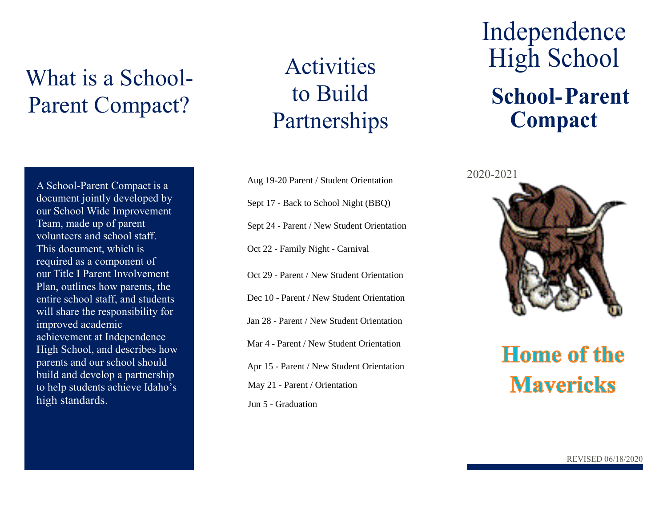## What is a School-Parent Compact?

A School-Parent Compact is a document jointly developed by our School Wide Improvement Team, made up of parent volunteers and school staff. This document, which is required as a component of our Title I Parent Involvement Plan, outlines how parents, the entire school staff, and students will share the responsibility for improved academic achievement at Independence High School, and describes how parents and our school should build and develop a partnership to help students achieve Idaho's high standards.

## Activities to Build Partnerships

Aug 19-20 Parent / Student Orientation Sept 17 - Back to School Night (BBO) Sept 24 - Parent / New Student Orientation Oct 22 - Family Night - Carnival Oct 29 - Parent / New Student Orientation Dec 10 - Parent / New Student Orientation Jan 28 - Parent / New Student Orientation Mar 4 - Parent / New Student Orientation February 7, 2019 1, 2019 1, 2019 1, 2019 1, 2019 1, 2019 1, 2019 1, 2019 1, 2019 1, 2019 1, 2019 1, 2019 1, 2019 1, 2019 1, 2019 1, 2019 1, 2019 1, 2019 1, 2019 1, 2019 1, 2019 1, 2 Apr 15 - Parent / New Student Orientation May 21 - Parent / Orientation Jun 5 - Graduation

## Independence High School **School-Parent Compact**

2020-2021



# **Mavericks**